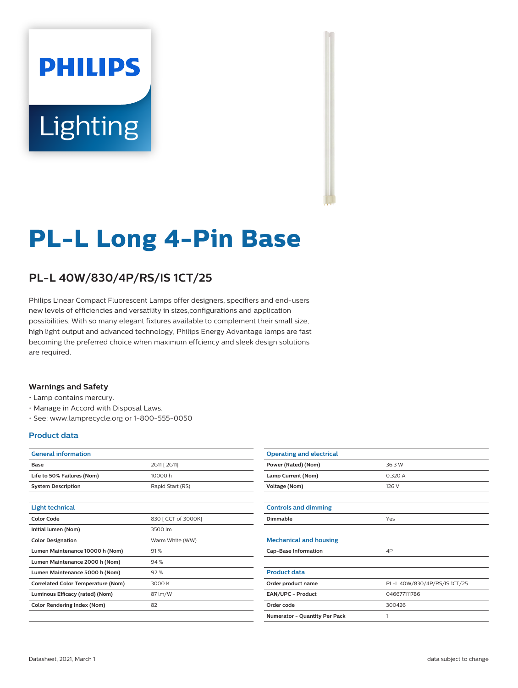# **PHILIPS** Lighting



## **PL-L Long 4-Pin Base**

### **PL-L 40W/830/4P/RS/IS 1CT/25**

Philips Linear Compact Fluorescent Lamps offer designers, specifiers and end-users new levels of efficiencies and versatility in sizes,configurations and application possibilities. With so many elegant fixtures available to complement their small size, high light output and advanced technology, Philips Energy Advantage lamps are fast becoming the preferred choice when maximum effciency and sleek design solutions are required.

#### **Warnings and Safety**

- Lamp contains mercury.
- Manage in Accord with Disposal Laws.
- See: www.lamprecycle.org or 1-800-555-0050

#### **Product data**

| <b>General information</b>         |                     |
|------------------------------------|---------------------|
| Base                               | 2G11 [ 2G11]        |
| Life to 50% Failures (Nom)         | 10000 h             |
| <b>System Description</b>          | Rapid Start (RS)    |
|                                    |                     |
| Light technical                    |                     |
| Color Code                         | 830 [ CCT of 3000K] |
| Initial lumen (Nom)                | 3500 lm             |
| <b>Color Designation</b>           | Warm White (WW)     |
| Lumen Maintenance 10000 h (Nom)    | 91%                 |
| Lumen Maintenance 2000 h (Nom)     | 94%                 |
| Lumen Maintenance 5000 h (Nom)     | 92%                 |
| Correlated Color Temperature (Nom) | 3000 K              |
| Luminous Efficacy (rated) (Nom)    | 87 lm/W             |
| <b>Color Rendering Index (Nom)</b> | 82                  |
|                                    |                     |

| <b>Operating and electrical</b> |                              |
|---------------------------------|------------------------------|
| Power (Rated) (Nom)             | 36.3 W                       |
| Lamp Current (Nom)              | 0.320 A                      |
| Voltage (Nom)                   | 126 V                        |
|                                 |                              |
| <b>Controls and dimming</b>     |                              |
| Dimmable                        | Yes                          |
|                                 |                              |
| <b>Mechanical and housing</b>   |                              |
| <b>Cap-Base Information</b>     | 4P                           |
|                                 |                              |
| <b>Product data</b>             |                              |
| Order product name              | PL-L 40W/830/4P/RS/IS 1CT/25 |
| EAN/UPC - Product               | 046677111786                 |
| Order code                      | 300426                       |
| Numerator - Quantity Per Pack   | 1                            |
|                                 |                              |